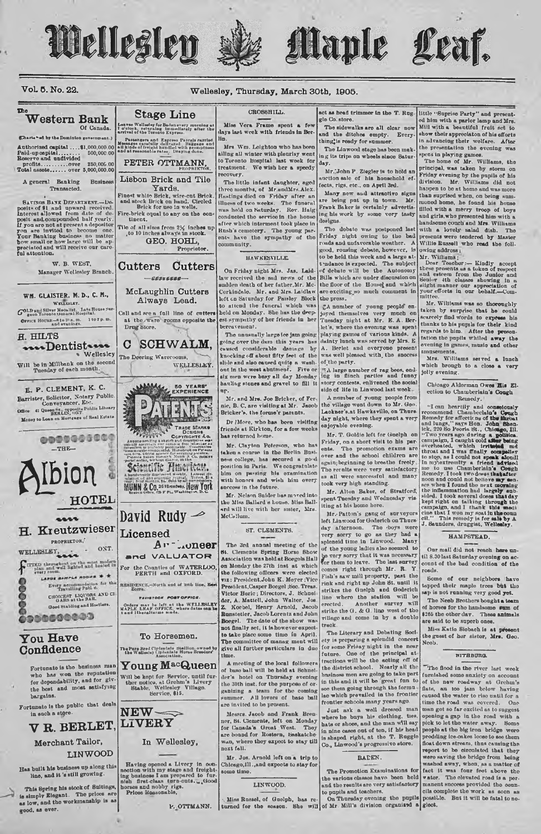

Vol. 5. No. 22.







#### Wellesley, Thursday, March 30th, 1905.

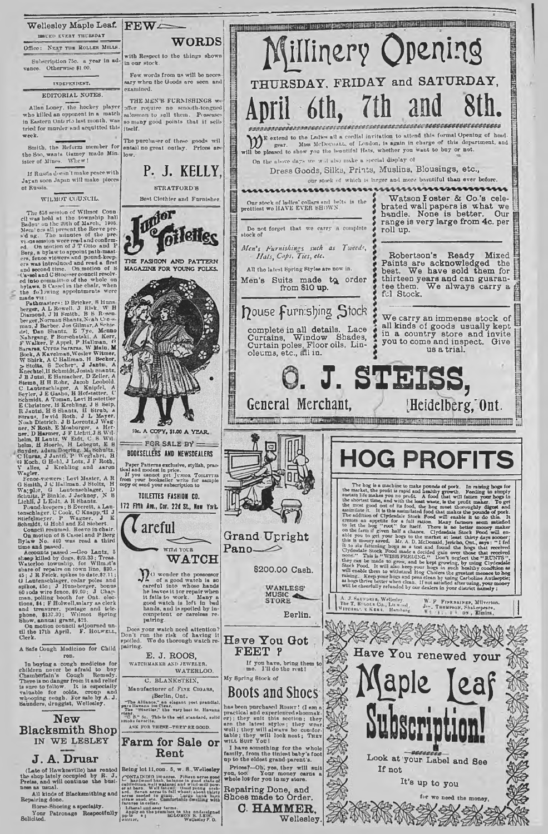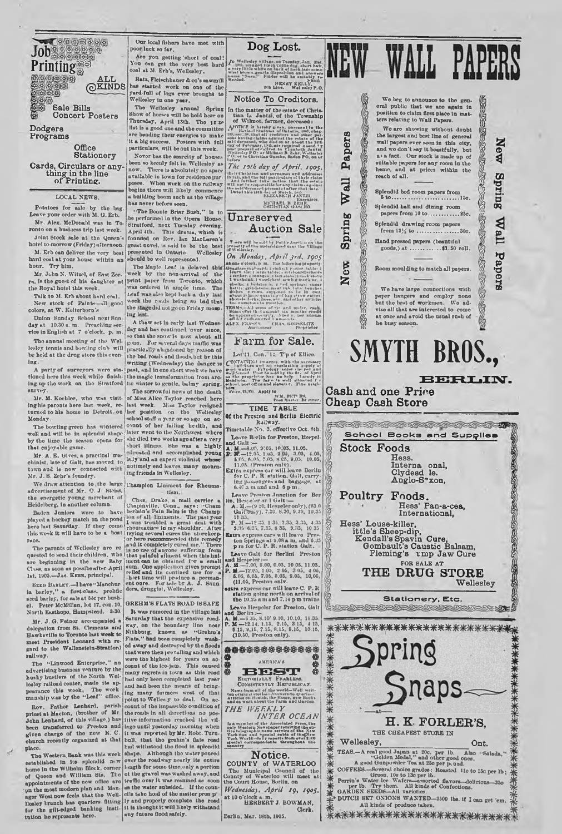**Printing**<br>example to the control **ALL** (g)KINDS VS) **Sale Bills Concert Posters**

【要要要商商动药 Job<sub>ooneen</sub>

**Dodgers Programs**

> **Office Stationery**

**Cards, Circulars or any-thing in the line of Printing.**

#### LOCAL NEWS.

Potatoes for sale by tho bag. Leave yonr order with M. O. Erb. Mr. Alex. McDonald wos In Toronto on a business trip last week.

Joint Stock nalo at the Qneen's hotel to-morrow (Friday) afternoon. M. Erb can deliver the very best hard coal at yonr house within nD

honr. Try him. Mr. John N. Witzel, of East Zor-<br>ra, is the guest of his daughter at

New stock of Paints—nil good week the routs being so one that colore, at W. Kelterborn's

colors, at W. Kelterborn strategy ing last.<br>
Union Sunday School next Sun-<br>
day at 10.30 a. m. Preaching ser-<br>
The strategy of May and<br>
The strategy of Clock, p. m.

lesley tennis and bowling club will practically abandoned by reason of<br>be held at the drug store this oven- the bad roads and floods, but by this

A party of surveyors were sta- past, and in one short week we have<br>tioned here this week while finish-1 the magic transformation from arc-<br>ing up the work on the Stratford the winter to gentle, balmy spring. ing up the work on the Stratford survey.

Monday,

The bowling green has wintered well nnd will be in splendid shape by tho timo tho season opens for that cnjoyablo game.

town and is now connected with unumery eau reaves many mourn.<br>Mr. J. S. Zehr's foundry.

We draw attention to the large Champion Liniment for Rhenma-<br>advertisement of Mr. O. J Btoiss. [180]

played a bockey match on the pond<br>here last Saturday. If they come this week it will have to be a boat

are beginning in the new Baby<br>Class, as soon as possibe after April 1st, 1905.-JAs. KERR, principal.

SEED BARLEY.-I have "Manchuria barley," n flret-olass. prolific s;cd barley, for sale at Sic per bush-Peter McMillan, lot 17. con. 10. North Easthope, Humpsteud. 8-30.

Mr. J. G. Poiner accompanied a<br>delegation from St. Clements and<br>Hawksville to Toronto last week to meet President Leonard with re-gard to the Wallcnstcln-8tratford railway. Tho "Linwood Enterprise," an

advertising business venture by the husky hustlers of tho North Wollesley raiload center, matio its ap-<br>pearanco this week. The work<br>manship was by the "Leaf" office.

Rov. Fathor Lenhard, parish<br>priest at Macton. (brother of Mr John Lenhard, of this village,) has<br>been transferred to Preston and<br>given charge of the new R.C.<br>church recently organized at that place.

Tho Western. Bank was this weok established in its splendid m w homo in tho Wllbolm Block, corner of Queen and William Sts. The appointments of the now office are<br>v<sub>p</sub> the most modern plan and Man-<br>ager West now feels that the Well-<br>liesley branch has quarters fitting<br>for the glit-edged banking institution he represent

Our local fishers have met with poor luck an far.

Aro yon getting; short of cool! Yon can get tbo very beat hard coal ut M. Erb's, Wellesley. Rata, Fleischbancr & co's sawmill

naa started work on one of the<br>yard-fall of logs ever brought to<br>Welloaley in one year.

annual Spring<br>
Show of horws will be hold here on<br>
Thursday, April 13th. The *jr ze*<br>
list is a good one and the committee are bending their energies to make<br>it a big success. Posters with full<br>particulars, will be out this week.

Never has the scarcity of houses boon ao keenly felt in Wellesley an now. There is absolutely no apace available in town for residence pur-poses. When work on tho ruilway begins there will likely commence building boom snch as the village has never before seen.

'The Bonnie Briar Bosh," is to be performed in the Opera House.<br>Stratford, next Tuesday evening. April 4th. This drama, which is founded on Ilev. Inn MacLaren's great novel, is said to be the best presented in Ontario. Wellesley should be well represented.

The Maple Leaf is delayed this. week by the non-arrival of the rn, is the gnest of his daughter nt|l>rint P" l\*r from Toronto, which the Royal hotel this week. , was ordered in ample timo. The Talk to M. Erb about hard coal. Leaf was also kept back a day had New stock of Paints all wood week the roads being so bad that

day at 10.30 a.m. Preaching ser and has continued over aince,<br>vice in English at 7 o'clock, p. in. and has continued over aince,<br>on that the snow's now about all<br>The annual meeting of the Wellgone. For several days traffic lnR' ; writing (Wednesday) tho danger is A party of surveyors were stn- ] past, nnd in one short week wo huvo

survey. The sorrowful news of the death<br>
Mr. M. Kochler, who was visited that Alice Taylor reached here<br>
ing his parouts here last week, re- last week. Miss Taylor resigned<br>
turned to his home in Detroit. on her position o school staff a year or so ago on ac-<br>count of her failing health, and Inter went to the Northwest where the time the season opens for short illness. She was a highly<br>short illness. She was a highly short illness. She was a highly<br>Mr. A. E. Gives, a practical ma-Mr. A. E. Gives, a practical ma-indicented and accomplished young<br>chinist, late of Calt, has moved to lady and an expert violinist whose<br>calculations of ...

the energetic young merchant of *Chas*. Drake, a mail carrier a mail carrier a mail carrier a mail carrier and the Baden in the Baden Baden Baden Baden Baden Baden Baden Baden Baden Baden Baden Baden Baden Baden Baden Bade here last Saturday. If they come (rheumatiaes in my shoulder. After<br>this week it will have to be a boat trying several currence subsets<br>race.<br>The paronts of Wellosloy are red is no measured measured in a remed<br>presence of

GREHM'8 FLATS ROAD ISSAFE It was rumored in the village last Saturday that tho expensive road-<br>way, on the boundary line near<br>Nithburg, known as "Grehm's<br>Flats," had been completely wash-<br>ed away ar.d destroyed by tbo floods that wore then prevailing and which wore tho highest for years on ac-oonnt of tbo ico-jam. This on used many regrets in town as this road<br>had only been completed last year and had been the means of bring-<br>ing many farmors west of that<br>point to Welles y to deal. On ac-<br>count of tho impassible condition of<br>the roads in all directions no positive information reached the vil-<br>lage until yosterday morning when<br>it was repurted by Mr. Robt. Turn-<br>ball, that the grehtn's flats road<br>had withstood the flood in splendid shape. Although the water poured<br>over the roadway nearly its entirs length for some time, only a portion<br>of the gravel was washed away, and of the gravel was washed away, and<br>traffle over it was resumed as soon<br>as the water subsided. If the councils take hold of the matter pron p'<br>ly and properly complete the road<br>it is thought it will likely withstand<br>any fut

## **Dog Lost.**

To Wellenby Sillyac, on Tour dent Linds, and the same of the which the wind of the whole the same of the same of the same standard the same state of the same state of the same state of the same state of the same state of t

**Notice To Creditors.**

In the matter of the entate of Chris-<br>the Collinson control of Wilmouth of Wilmouth of Wilmouth of the Township<br> $\Lambda/\text{OTRE}$  is bestly given, persuant to the Collinson of Wilmouth of the<br>second intervals of the second state

The 10th day of April, 1905,  $[0.5] The first list is not possible for the first list of the first list of the first list of the first list of the first list of the first list. The first list is not the first list of the first list is not the first list. The first list is not the first list is not the first list. The first list is not the first list. The first list is not the first list. The first list is not the first list. The first list is not the first list. The first list is not the first list. The first list is not the first list. The first list is not the first list. The first list is not the first list. The first list is not the first list. The first list is not the first list. The first list is not the first list. The first list is not the first list. The first list is not the first list. The first list is not the first list. The first list is not the first list. The first list is not the first list. The first list is not the first list$ 

apers

*d \**

Spring

**CD** fe

f

 $\frac{1}{2}$ 

## **Unreserved Auction Sale**

T wro will be sold by Public Auerica on<br>roiwrty of the uu-lorsigns-1 usar the Vill<br>**f** Wellesley,

ab one o'clock, p m. The following property: IiS. U ttflw . i\_ Irmrt i iaae CBpfe o r l; *s* «iok«: I p-rl«r table: I Me: 1 :.r n tat-Ie: . eMefe\*ntjtrhaire 1 r.w-ker lonnf. - i l.n etove; I < ..ok etui 1 Wheli.ink: I wuudehret m-wIi r nibtiilnr; clin k.: 4 li.-lftt.-a .. *1* l.cl tprliiRe: eucar kettle: arib-l.toiir lu. a» tub: m l-' fetich\*. 4i.h r. r rowe. .Ip p m -I to te In cell; •feut >• hell\*.-nua.ItIty\*-f l>»y r 't.tr cutler, •hotel, fork.: hue\*. e' > . nu-1 other article, too num.-run. to tnrutivti TERM\*\* —All H im of \*H i.r-l m .b r. c...... Sam.->v.r tb-t etooutit **>11** m o...h. credit .............................. .\*• |~r • . le t annum off >• r each on cr. it t amount.. ALEX. KUA-KK CHAS. UORSgUTX Aacriotieer i\*rupri»tor *On Monday, April jrd, 1905*

## **Farm for Sale.**

Lot'll, Con. 14,  $T$ p of Ellice. CONTAINERS and an everlasting purposer of the line of the specific specific specifies and the specific specifies of the specific specifies of the specifies of the properties of the properties and the properties and the pro

**TIME TABLE** 

Leave Berlin for Preston, Hwpcl-and Galt:— A. M.—8.U0. 9:03. 10.05. 11.05. P. Bf— 12.05. 1 05. 3 05, 3.05. 4.05, t o:,, d.o.',. 7.05. 8 05. 9.05. 10.05, 11.05. (Presrnn onlv). Extra expr\*-\*\* c.»r will leave Berlin forC. P. R station. Galt, carry-ing passengers and baggage, at 8.4C a m tmd and 0 pm.

Leave Preston Junction for Ber<br>
in, Hesselver and Galticon<br>  $A, M_{\nu}$  (9.20, Hespeler only), (83.0<br>
Galticons)), 7.200, 8.300, 9.30, 10.35<br>
P.  $M_{\nu}$ (19.25, 1.35, 2.35, 3.33, 4.35,<br>
P.  $N_{\nu}$  (19.25, 1.35, 2.35, 3.33, 4 13. 3.35, 4.35 .© 9.83. 1033 *f t* leavo Prc\*- *%*

**Leave Galt for Borlini Preston A. M. –7.00, 8.00, 0.05, 10 05, 11.05, P. M** –12.05, 105, 2.05, 3 05, 4 05, 6,05, 6,05, 6,05, 6,05, 6,05, 6,05, 8.05, 9.05, 10,05, 11.05, Preston only.

extra express car will loave C. P. R station going north on arrival of tho 10.23 n m uml 7.14 p m trains

Leave Hespeler for Preston, Galt<br> **A. M.**—6.35. 8.10' 9.10, 10.10, 11.35.<br> **P. M.**—12.14. 1.15. 2.15, 3.15, 4 15,<br> **6.15**, 9.15, 7.15, 8.15, 9.15, 10.16,<br> **(10.50, Preston only).** 

\*\*\*\*\*\*\*\*\*\*\*\*



AMERICA'S SERVER CAN BRITCHES & BOTTONIALLY FRANCHISES.

*THE WEEKLY INTER OCEAN* Is a member of the Associated Press, the<br>collect product a superpose that the solid space of the space of the New<br>Strichlenger and hysetal collect of the New<br>York Man and hysetal collect from over 1.310<br>Spacial corresponde

## **Notice.**

**COUNTY of WATERLOO**<br>
The Municipal Council of the<br>
County of Waterloo will meet at<br>
the Court House, Berlin, on *Wednesday, A p r i l 19, 1905.*

at 10 o 'clock a m. HERBERT J. BOWMAN, Clerk. Eerltn, Mar. 18tb, 1906.





## **SMYTH BROS.,**

**BERLiIIST.**

**Cash and one Price Cheap Cash Store**



# **trice, 13, 70. Apply to WM. PET! RN.**<br>WM. PET! RN.<br>Poet Master Br inner. **Of the Preston and Berlin Electric** Railway. Timetable No. 3. effootive Oct. «th.